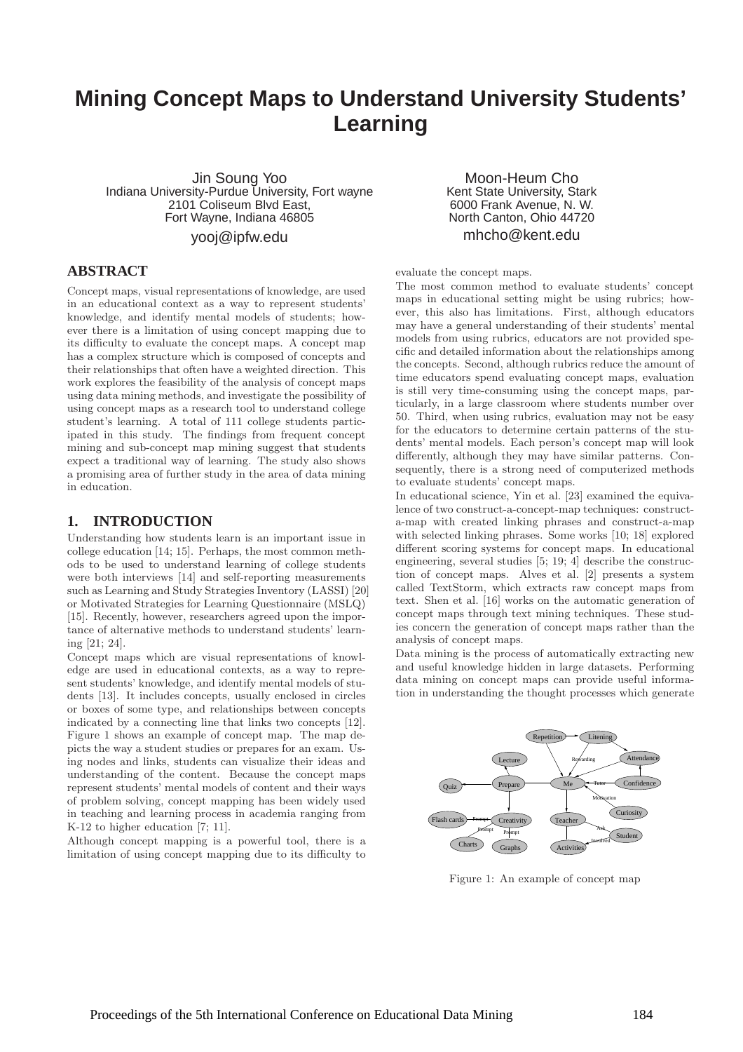# **Mining Concept Maps to Understand University Students' Learning**

Jin Soung Yoo Indiana University-Purdue University, Fort wayne 2101 Coliseum Blvd East, Fort Wayne, Indiana 46805

yooj@ipfw.edu

### **ABSTRACT**

Concept maps, visual representations of knowledge, are used in an educational context as a way to represent students' knowledge, and identify mental models of students; however there is a limitation of using concept mapping due to its difficulty to evaluate the concept maps. A concept map has a complex structure which is composed of concepts and their relationships that often have a weighted direction. This work explores the feasibility of the analysis of concept maps using data mining methods, and investigate the possibility of using concept maps as a research tool to understand college student's learning. A total of 111 college students participated in this study. The findings from frequent concept mining and sub-concept map mining suggest that students expect a traditional way of learning. The study also shows a promising area of further study in the area of data mining in education.

### **1. INTRODUCTION**

Understanding how students learn is an important issue in college education [14; 15]. Perhaps, the most common methods to be used to understand learning of college students were both interviews [14] and self-reporting measurements such as Learning and Study Strategies Inventory (LASSI) [20] or Motivated Strategies for Learning Questionnaire (MSLQ) [15]. Recently, however, researchers agreed upon the importance of alternative methods to understand students' learning [21; 24].

Concept maps which are visual representations of knowledge are used in educational contexts, as a way to represent students' knowledge, and identify mental models of students [13]. It includes concepts, usually enclosed in circles or boxes of some type, and relationships between concepts indicated by a connecting line that links two concepts [12]. Figure 1 shows an example of concept map. The map depicts the way a student studies or prepares for an exam. Using nodes and links, students can visualize their ideas and understanding of the content. Because the concept maps represent students' mental models of content and their ways of problem solving, concept mapping has been widely used in teaching and learning process in academia ranging from K-12 to higher education [7; 11].

Although concept mapping is a powerful tool, there is a limitation of using concept mapping due to its difficulty to

Moon-Heum Cho Kent State University, Stark 6000 Frank Avenue, N. W. North Canton, Ohio 44720 mhcho@kent.edu

#### evaluate the concept maps.

The most common method to evaluate students' concept maps in educational setting might be using rubrics; however, this also has limitations. First, although educators may have a general understanding of their students' mental models from using rubrics, educators are not provided specific and detailed information about the relationships among the concepts. Second, although rubrics reduce the amount of time educators spend evaluating concept maps, evaluation is still very time-consuming using the concept maps, particularly, in a large classroom where students number over 50. Third, when using rubrics, evaluation may not be easy for the educators to determine certain patterns of the students' mental models. Each person's concept map will look differently, although they may have similar patterns. Consequently, there is a strong need of computerized methods to evaluate students' concept maps.

In educational science, Yin et al. [23] examined the equivalence of two construct-a-concept-map techniques: constructa-map with created linking phrases and construct-a-map with selected linking phrases. Some works [10; 18] explored different scoring systems for concept maps. In educational engineering, several studies [5; 19; 4] describe the construction of concept maps. Alves et al. [2] presents a system called TextStorm, which extracts raw concept maps from text. Shen et al. [16] works on the automatic generation of concept maps through text mining techniques. These studies concern the generation of concept maps rather than the analysis of concept maps.

Data mining is the process of automatically extracting new and useful knowledge hidden in large datasets. Performing data mining on concept maps can provide useful information in understanding the thought processes which generate



Figure 1: An example of concept map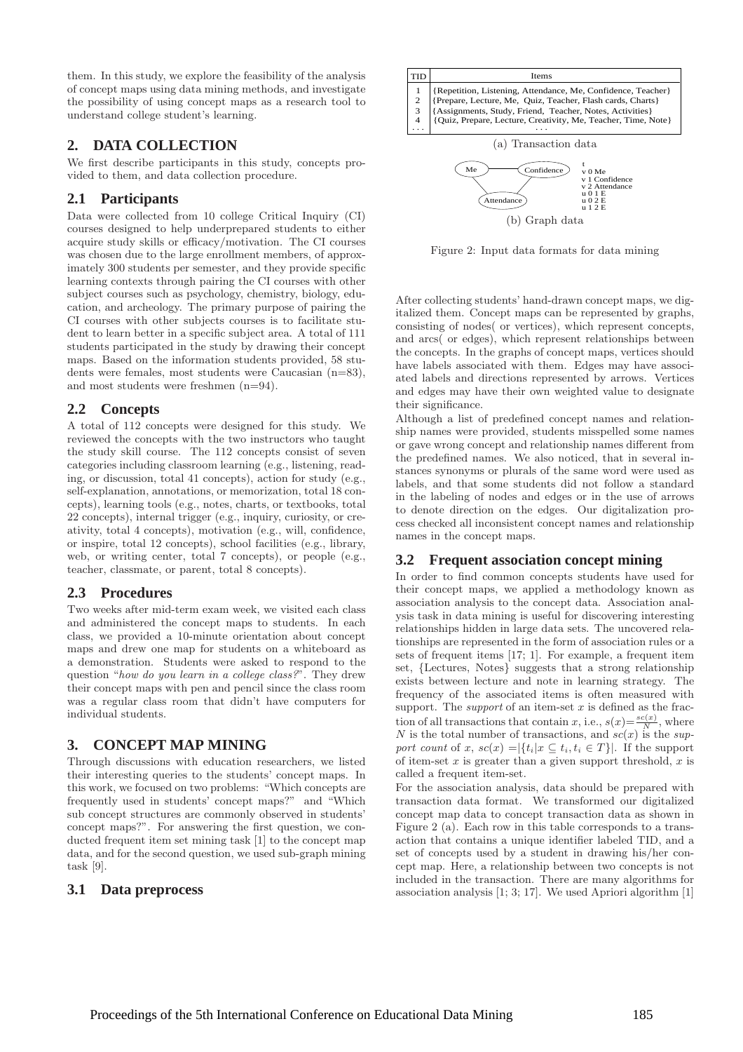them. In this study, we explore the feasibility of the analysis of concept maps using data mining methods, and investigate the possibility of using concept maps as a research tool to understand college student's learning.

### **2. DATA COLLECTION**

We first describe participants in this study, concepts provided to them, and data collection procedure.

### **2.1 Participants**

Data were collected from 10 college Critical Inquiry (CI) courses designed to help underprepared students to either acquire study skills or efficacy/motivation. The CI courses was chosen due to the large enrollment members, of approximately 300 students per semester, and they provide specific learning contexts through pairing the CI courses with other subject courses such as psychology, chemistry, biology, education, and archeology. The primary purpose of pairing the CI courses with other subjects courses is to facilitate student to learn better in a specific subject area. A total of 111 students participated in the study by drawing their concept maps. Based on the information students provided, 58 students were females, most students were Caucasian (n=83), and most students were freshmen (n=94).

### **2.2 Concepts**

A total of 112 concepts were designed for this study. We reviewed the concepts with the two instructors who taught the study skill course. The 112 concepts consist of seven categories including classroom learning (e.g., listening, reading, or discussion, total 41 concepts), action for study (e.g., self-explanation, annotations, or memorization, total 18 concepts), learning tools (e.g., notes, charts, or textbooks, total 22 concepts), internal trigger (e.g., inquiry, curiosity, or creativity, total 4 concepts), motivation (e.g., will, confidence, or inspire, total 12 concepts), school facilities (e.g., library, web, or writing center, total 7 concepts), or people (e.g., teacher, classmate, or parent, total 8 concepts).

## **2.3 Procedures**

Two weeks after mid-term exam week, we visited each class and administered the concept maps to students. In each class, we provided a 10-minute orientation about concept maps and drew one map for students on a whiteboard as a demonstration. Students were asked to respond to the question "how do you learn in a college class?". They drew their concept maps with pen and pencil since the class room was a regular class room that didn't have computers for individual students.

# **3. CONCEPT MAP MINING**

Through discussions with education researchers, we listed their interesting queries to the students' concept maps. In this work, we focused on two problems: "Which concepts are frequently used in students' concept maps?" and "Which sub concept structures are commonly observed in students' concept maps?". For answering the first question, we conducted frequent item set mining task [1] to the concept map data, and for the second question, we used sub-graph mining task [9].

### **3.1 Data preprocess**



Figure 2: Input data formats for data mining

After collecting students' hand-drawn concept maps, we digitalized them. Concept maps can be represented by graphs, consisting of nodes( or vertices), which represent concepts, and arcs( or edges), which represent relationships between the concepts. In the graphs of concept maps, vertices should have labels associated with them. Edges may have associated labels and directions represented by arrows. Vertices and edges may have their own weighted value to designate their significance.

Although a list of predefined concept names and relationship names were provided, students misspelled some names or gave wrong concept and relationship names different from the predefined names. We also noticed, that in several instances synonyms or plurals of the same word were used as labels, and that some students did not follow a standard in the labeling of nodes and edges or in the use of arrows to denote direction on the edges. Our digitalization process checked all inconsistent concept names and relationship names in the concept maps.

### **3.2 Frequent association concept mining**

In order to find common concepts students have used for their concept maps, we applied a methodology known as association analysis to the concept data. Association analysis task in data mining is useful for discovering interesting relationships hidden in large data sets. The uncovered relationships are represented in the form of association rules or a sets of frequent items [17; 1]. For example, a frequent item set, {Lectures, Notes} suggests that a strong relationship exists between lecture and note in learning strategy. The frequency of the associated items is often measured with support. The *support* of an item-set  $x$  is defined as the fraction of all transactions that contain x, i.e.,  $s(x) = \frac{sc(x)}{N}$ , where N is the total number of transactions, and  $\dot{sc}(x)$  is the support count of x,  $sc(x) = |\{t_i | x \subseteq t_i, t_i \in T\}|$ . If the support of item-set  $x$  is greater than a given support threshold,  $x$  is called a frequent item-set.

For the association analysis, data should be prepared with transaction data format. We transformed our digitalized concept map data to concept transaction data as shown in Figure 2 (a). Each row in this table corresponds to a transaction that contains a unique identifier labeled TID, and a set of concepts used by a student in drawing his/her concept map. Here, a relationship between two concepts is not included in the transaction. There are many algorithms for association analysis [1; 3; 17]. We used Apriori algorithm [1]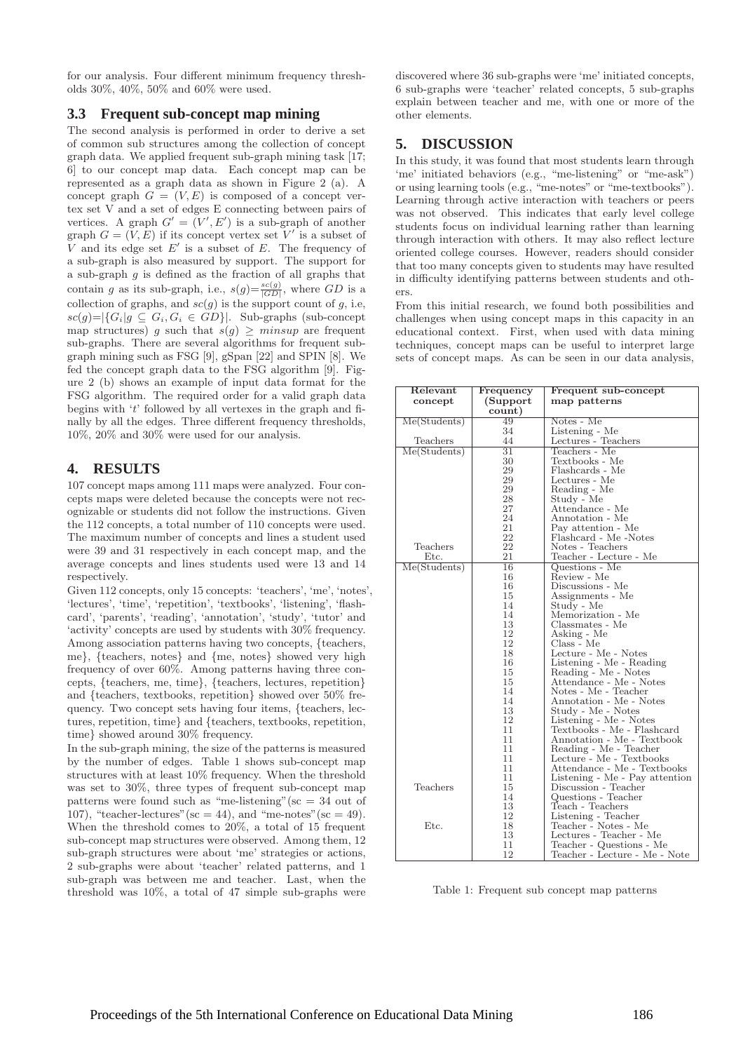for our analysis. Four different minimum frequency thresholds 30%, 40%, 50% and 60% were used.

### **3.3 Frequent sub-concept map mining**

The second analysis is performed in order to derive a set of common sub structures among the collection of concept graph data. We applied frequent sub-graph mining task [17; 6] to our concept map data. Each concept map can be represented as a graph data as shown in Figure 2 (a). A concept graph  $G = (V, E)$  is composed of a concept vertex set V and a set of edges E connecting between pairs of vertices. A graph  $G' = (V', E')$  is a sub-graph of another graph  $G = (V, E)$  if its concept vertex set V' is a subset of V and its edge set  $E'$  is a subset of  $E$ . The frequency of a sub-graph is also measured by support. The support for a sub-graph  $g$  is defined as the fraction of all graphs that contain g as its sub-graph, i.e.,  $s(g) = \frac{s c(g)}{|GD|}$ , where GD is a collection of graphs, and  $sc(g)$  is the support count of g, i.e,  $\textit{sc}(g) = |\{G_i | g \subseteq G_i, G_i \in GD\}|$ . Sub-graphs (sub-concept map structures) g such that  $s(g) \geq minsup$  are frequent sub-graphs. There are several algorithms for frequent subgraph mining such as FSG [9], gSpan [22] and SPIN [8]. We fed the concept graph data to the FSG algorithm [9]. Figure 2 (b) shows an example of input data format for the FSG algorithm. The required order for a valid graph data begins with 't' followed by all vertexes in the graph and finally by all the edges. Three different frequency thresholds, 10%, 20% and 30% were used for our analysis.

### **4. RESULTS**

107 concept maps among 111 maps were analyzed. Four concepts maps were deleted because the concepts were not recognizable or students did not follow the instructions. Given the 112 concepts, a total number of 110 concepts were used. The maximum number of concepts and lines a student used were 39 and 31 respectively in each concept map, and the average concepts and lines students used were 13 and 14 respectively.

Given 112 concepts, only 15 concepts: 'teachers', 'me', 'notes', 'lectures', 'time', 'repetition', 'textbooks', 'listening', 'flashcard', 'parents', 'reading', 'annotation', 'study', 'tutor' and 'activity' concepts are used by students with 30% frequency. Among association patterns having two concepts, {teachers, me}, {teachers, notes} and {me, notes} showed very high frequency of over 60%. Among patterns having three concepts, {teachers, me, time}, {teachers, lectures, repetition} and {teachers, textbooks, repetition} showed over 50% frequency. Two concept sets having four items, {teachers, lectures, repetition, time} and {teachers, textbooks, repetition, time} showed around 30% frequency.

In the sub-graph mining, the size of the patterns is measured by the number of edges. Table 1 shows sub-concept map structures with at least 10% frequency. When the threshold was set to 30%, three types of frequent sub-concept map patterns were found such as "me-listening" ( $\mathrm{sc} = 34$  out of 107), "teacher-lectures" (sc = 44), and "me-notes" (sc = 49). When the threshold comes to 20%, a total of 15 frequent sub-concept map structures were observed. Among them, 12 sub-graph structures were about 'me' strategies or actions, 2 sub-graphs were about 'teacher' related patterns, and 1 sub-graph was between me and teacher. Last, when the threshold was 10%, a total of 47 simple sub-graphs were discovered where 36 sub-graphs were 'me' initiated concepts, 6 sub-graphs were 'teacher' related concepts, 5 sub-graphs explain between teacher and me, with one or more of the other elements.

### **5. DISCUSSION**

In this study, it was found that most students learn through 'me' initiated behaviors (e.g., "me-listening" or "me-ask") or using learning tools (e.g., "me-notes" or "me-textbooks"). Learning through active interaction with teachers or peers was not observed. This indicates that early level college students focus on individual learning rather than learning through interaction with others. It may also reflect lecture oriented college courses. However, readers should consider that too many concepts given to students may have resulted in difficulty identifying patterns between students and others.

From this initial research, we found both possibilities and challenges when using concept maps in this capacity in an educational context. First, when used with data mining techniques, concept maps can be useful to interpret large sets of concept maps. As can be seen in our data analysis,

| Relevant     | Frequency       | Frequent sub-concept                            |
|--------------|-----------------|-------------------------------------------------|
| concept      | (Support)       | map patterns                                    |
|              | count)          |                                                 |
| Me(Students) | 49              | Notes - Me                                      |
|              | 34              | Listening - Me                                  |
| Teachers     | 44              |                                                 |
| Me(Students) | $\overline{31}$ | Lectures - Teachers<br>Teachers - Me            |
|              | 30              | Textbooks - Me                                  |
|              | 29              | Flashcards - Me                                 |
|              | 29              | Lectures - Me                                   |
|              | 29              | Reading - Me                                    |
|              | 28              | Study - Me                                      |
|              | 27              | Attendance - Me                                 |
|              | 24              | Annotation - Me                                 |
|              | 21              | Pay attention - Me                              |
|              | 22              | Flashcard - Me -Notes                           |
| Teachers     | 22              | Notes - Teachers                                |
| Etc.         | 21              | Teacher - Lecture - Me                          |
| Me(Students) | 16              | $Questions - Me$                                |
|              | 16              | Review - Me                                     |
|              | 16              | Discussions - Me                                |
|              | 15              | Assignments - Me                                |
|              | 14              | Study - Me                                      |
|              | 14              | Memorization - Me                               |
|              | 13              | Classmates - Me                                 |
|              | 12              |                                                 |
|              | 12              | Asking - Me<br>Class - Me                       |
|              | 18              | Lecture - Me - Notes                            |
|              | 16              | Listening - Me - Reading                        |
|              | 15              |                                                 |
|              | 15              | Reading - Me - Notes<br>Attendance - Me - Notes |
|              | 14              | Notes - Me - Teacher                            |
|              | 14              | Annotation - Me - Notes                         |
|              | 13              |                                                 |
|              | 12              | Study - Me - Notes<br>Listening - Me - Notes    |
|              | 11              | Textbooks - Me - Flashcard                      |
|              | 11              | Annotation - Me - Textbook                      |
|              | 11              | Reading - Me - Teacher                          |
|              | 11              | Lecture - Me - Textbooks                        |
|              | 11              | Attendance - Me - Textbooks                     |
|              | 11              | Listening - Me - Pay attention                  |
| Teachers     | 15              | Discussion - Teacher                            |
|              | 14              | Questions - Teacher                             |
|              | 13              | Teach - Teachers                                |
|              | 12              | Listening - Teacher                             |
| Etc.         | 18              | Teacher - Notes - Me                            |
|              | 13              | Lectures - Teacher - Me                         |
|              | 11              | Teacher - Questions - Me                        |
|              | 12              | Teacher - Lecture - Me - Note                   |
|              |                 |                                                 |

Table 1: Frequent sub concept map patterns